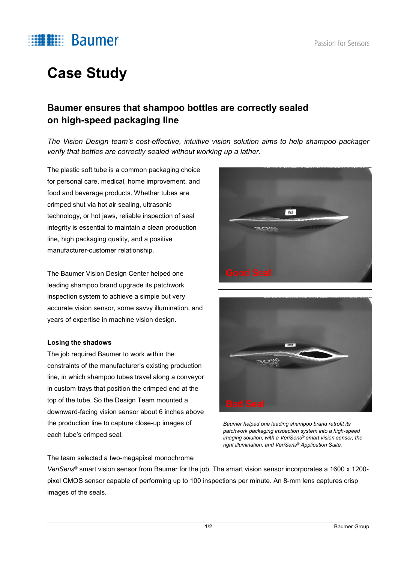

# **Case Study**

### **Baumer ensures that shampoo bottles are correctly sealed on high-speed packaging line**

*The Vision Design team's cost-effective, intuitive vision solution aims to help shampoo packager verify that bottles are correctly sealed without working up a lather.*

The plastic soft tube is a common packaging choice for personal care, medical, home improvement, and food and beverage products. Whether tubes are crimped shut via hot air sealing, ultrasonic technology, or hot jaws, reliable inspection of seal integrity is essential to maintain a clean production line, high packaging quality, and a positive manufacturer-customer relationship.

The Baumer Vision Design Center helped one leading shampoo brand upgrade its patchwork inspection system to achieve a simple but very accurate vision sensor, some savvy illumination, and years of expertise in machine vision design.

#### **Losing the shadows**

The job required Baumer to work within the constraints of the manufacturer's existing production line, in which shampoo tubes travel along a conveyor in custom trays that position the crimped end at the top of the tube. So the Design Team mounted a downward-facing vision sensor about 6 inches above the production line to capture close-up images of each tube's crimped seal.

**SM21** 



*Baumer helped one leading shampoo brand retrofit its patchwork packaging inspection system into a high-speed imaging solution, with a VeriSens® smart vision sensor, the right illumination, and VeriSens® Application Suite.*

The team selected a two-megapixel monochrome

*VeriSens*® smart vision sensor from Baumer for the job. The smart vision sensor incorporates a 1600 x 1200 pixel CMOS sensor capable of performing up to 100 inspections per minute. An 8-mm lens captures crisp images of the seals.